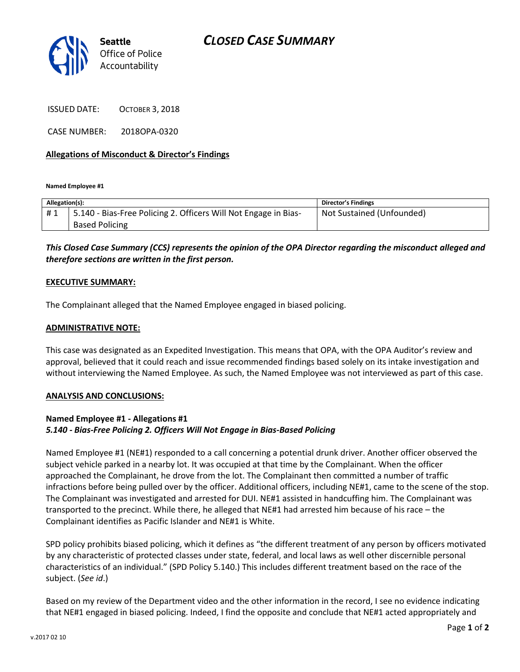

ISSUED DATE: OCTOBER 3, 2018

CASE NUMBER: 2018OPA-0320

#### **Allegations of Misconduct & Director's Findings**

**Named Employee #1**

| Allegation(s): |                                                                   | <b>Director's Findings</b> |
|----------------|-------------------------------------------------------------------|----------------------------|
| #1             | 1 5.140 - Bias-Free Policing 2. Officers Will Not Engage in Bias- | Not Sustained (Unfounded)  |
|                | <b>Based Policing</b>                                             |                            |

## *This Closed Case Summary (CCS) represents the opinion of the OPA Director regarding the misconduct alleged and therefore sections are written in the first person.*

#### **EXECUTIVE SUMMARY:**

The Complainant alleged that the Named Employee engaged in biased policing.

#### **ADMINISTRATIVE NOTE:**

This case was designated as an Expedited Investigation. This means that OPA, with the OPA Auditor's review and approval, believed that it could reach and issue recommended findings based solely on its intake investigation and without interviewing the Named Employee. As such, the Named Employee was not interviewed as part of this case.

#### **ANALYSIS AND CONCLUSIONS:**

### **Named Employee #1 - Allegations #1** *5.140 - Bias-Free Policing 2. Officers Will Not Engage in Bias-Based Policing*

Named Employee #1 (NE#1) responded to a call concerning a potential drunk driver. Another officer observed the subject vehicle parked in a nearby lot. It was occupied at that time by the Complainant. When the officer approached the Complainant, he drove from the lot. The Complainant then committed a number of traffic infractions before being pulled over by the officer. Additional officers, including NE#1, came to the scene of the stop. The Complainant was investigated and arrested for DUI. NE#1 assisted in handcuffing him. The Complainant was transported to the precinct. While there, he alleged that NE#1 had arrested him because of his race – the Complainant identifies as Pacific Islander and NE#1 is White.

SPD policy prohibits biased policing, which it defines as "the different treatment of any person by officers motivated by any characteristic of protected classes under state, federal, and local laws as well other discernible personal characteristics of an individual." (SPD Policy 5.140.) This includes different treatment based on the race of the subject. (*See id*.)

Based on my review of the Department video and the other information in the record, I see no evidence indicating that NE#1 engaged in biased policing. Indeed, I find the opposite and conclude that NE#1 acted appropriately and